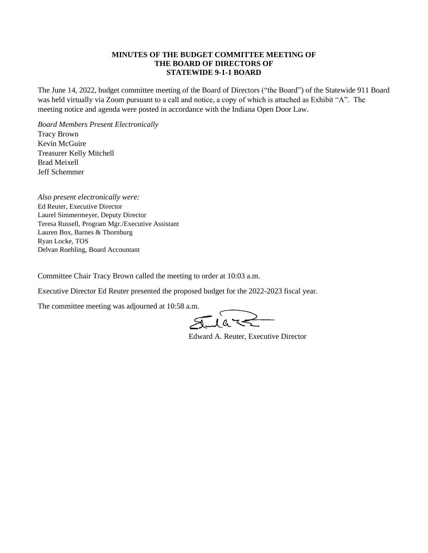## **MINUTES OF THE BUDGET COMMITTEE MEETING OF THE BOARD OF DIRECTORS OF STATEWIDE 9-1-1 BOARD**

The June 14, 2022, budget committee meeting of the Board of Directors ("the Board") of the Statewide 911 Board was held virtually via Zoom pursuant to a call and notice, a copy of which is attached as Exhibit "A". The meeting notice and agenda were posted in accordance with the Indiana Open Door Law.

*Board Members Present Electronically*  Tracy Brown Kevin McGuire Treasurer Kelly Mitchell Brad Meixell Jeff Schemmer

*Also present electronically were:* Ed Reuter, Executive Director Laurel Simmermeyer, Deputy Director Teresa Russell, Program Mgr./Executive Assistant Lauren Box, Barnes & Thornburg Ryan Locke, TOS Delvan Roehling, Board Accountant

Committee Chair Tracy Brown called the meeting to order at 10:03 a.m.

Executive Director Ed Reuter presented the proposed budget for the 2022-2023 fiscal year.

The committee meeting was adjourned at 10:58 a.m.

 $\subset$  $1a -$ 

Edward A. Reuter, Executive Director